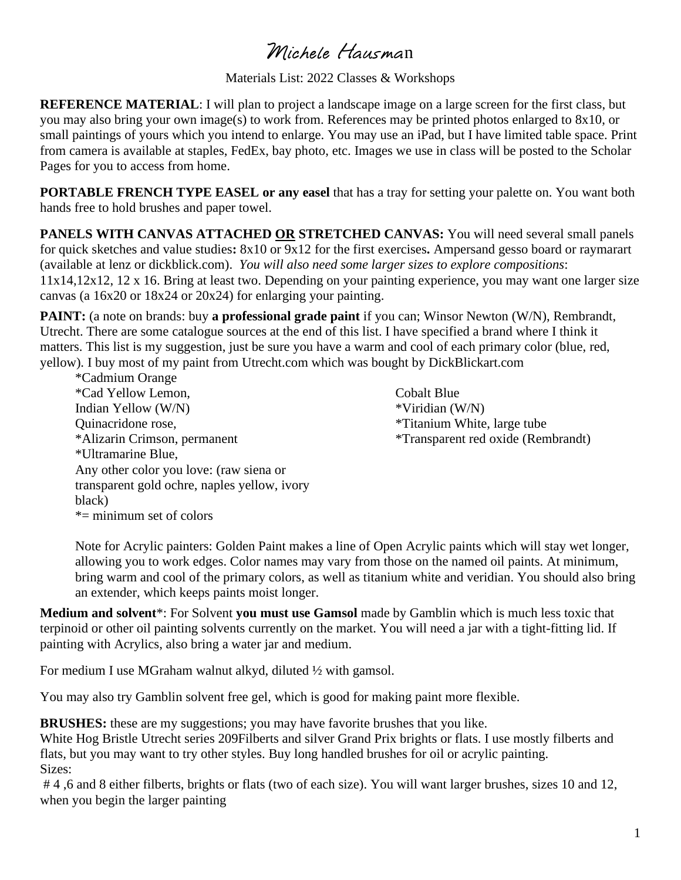## Michele Hausman

Materials List: 2022 Classes & Workshops

**REFERENCE MATERIAL**: I will plan to project a landscape image on a large screen for the first class, but you may also bring your own image(s) to work from. References may be printed photos enlarged to 8x10, or small paintings of yours which you intend to enlarge. You may use an iPad, but I have limited table space. Print from camera is available at staples, FedEx, bay photo, etc. Images we use in class will be posted to the Scholar Pages for you to access from home.

**PORTABLE FRENCH TYPE EASEL or any easel** that has a tray for setting your palette on. You want both hands free to hold brushes and paper towel.

**PANELS WITH CANVAS ATTACHED OR STRETCHED CANVAS:** You will need several small panels for quick sketches and value studies**:** 8x10 or 9x12 for the first exercises**.** Ampersand gesso board or raymarart (available at lenz or dickblick.com). *You will also need some larger sizes to explore compositions*: 11x14,12x12, 12 x 16. Bring at least two. Depending on your painting experience, you may want one larger size canvas (a 16x20 or 18x24 or 20x24) for enlarging your painting.

**PAINT:** (a note on brands: buy **a professional grade paint** if you can; Winsor Newton (W/N), Rembrandt, Utrecht. There are some catalogue sources at the end of this list. I have specified a brand where I think it matters. This list is my suggestion, just be sure you have a warm and cool of each primary color (blue, red, yellow). I buy most of my paint from Utrecht.com which was bought by DickBlickart.com

\*Cadmium Orange \*Cad Yellow Lemon, Indian Yellow (W/N) Quinacridone rose, \*Alizarin Crimson, permanent \*Ultramarine Blue, Any other color you love: (raw siena or transparent gold ochre, naples yellow, ivory black)  $*$ = minimum set of colors

Cobalt Blue \*Viridian (W/N) \*Titanium White, large tube \*Transparent red oxide (Rembrandt)

Note for Acrylic painters: Golden Paint makes a line of Open Acrylic paints which will stay wet longer, allowing you to work edges. Color names may vary from those on the named oil paints. At minimum, bring warm and cool of the primary colors, as well as titanium white and veridian. You should also bring an extender, which keeps paints moist longer.

**Medium and solvent**\*: For Solvent **you must use Gamsol** made by Gamblin which is much less toxic that terpinoid or other oil painting solvents currently on the market. You will need a jar with a tight-fitting lid. If painting with Acrylics, also bring a water jar and medium.

For medium I use MGraham walnut alkyd, diluted ½ with gamsol.

You may also try Gamblin solvent free gel, which is good for making paint more flexible.

**BRUSHES:** these are my suggestions; you may have favorite brushes that you like.

White Hog Bristle Utrecht series 209Filberts and silver Grand Prix brights or flats. I use mostly filberts and flats, but you may want to try other styles. Buy long handled brushes for oil or acrylic painting. Sizes:

# 4 ,6 and 8 either filberts, brights or flats (two of each size). You will want larger brushes, sizes 10 and 12, when you begin the larger painting